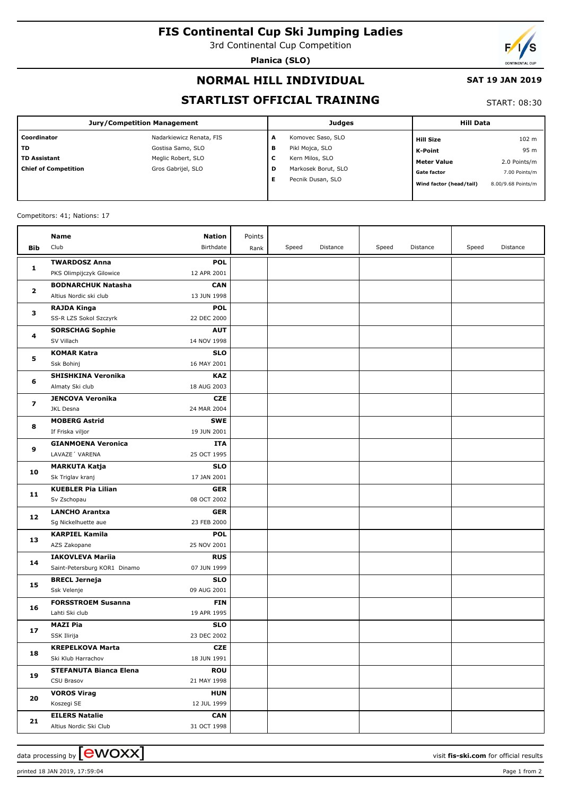# **FIS Continental Cup Ski Jumping Ladies**

3rd Continental Cup Competition

**Planica (SLO)**



## **NORMAL HILL INDIVIDUAL**

## **SAT 19 JAN 2019**

## **STARTLIST OFFICIAL TRAINING**

## START: 08:30

| Jury/Competition Management |                          |   | <b>Judges</b>       | <b>Hill Data</b>        |                    |
|-----------------------------|--------------------------|---|---------------------|-------------------------|--------------------|
| Coordinator                 | Nadarkiewicz Renata, FIS | А | Komovec Saso, SLO   | <b>Hill Size</b>        | 102 <sub>m</sub>   |
| l TD                        | Gostisa Samo, SLO        | в | Pikl Mojca, SLO     | <b>K-Point</b>          | 95 m               |
| l TD Assistant              | Meglic Robert, SLO       | c | Kern Milos, SLO     | <b>Meter Value</b>      | 2.0 Points/m       |
| Chief of Competition        | Gros Gabrijel, SLO       | D | Markosek Borut, SLO | <b>Gate factor</b>      | 7.00 Points/m      |
|                             |                          | Е | Pecnik Dusan, SLO   | Wind factor (head/tail) | 8.00/9.68 Points/m |

#### Competitors: 41; Nations: 17

|              | Name                                                    | Nation                    | Points |       |          |       |          |       |          |
|--------------|---------------------------------------------------------|---------------------------|--------|-------|----------|-------|----------|-------|----------|
| Bib          | Club                                                    | Birthdate                 | Rank   | Speed | Distance | Speed | Distance | Speed | Distance |
|              | <b>TWARDOSZ Anna</b>                                    | <b>POL</b>                |        |       |          |       |          |       |          |
| 1            | PKS Olimpijczyk Gilowice                                | 12 APR 2001               |        |       |          |       |          |       |          |
| $\mathbf{z}$ | <b>BODNARCHUK Natasha</b>                               | <b>CAN</b>                |        |       |          |       |          |       |          |
|              | Altius Nordic ski club                                  | 13 JUN 1998               |        |       |          |       |          |       |          |
| з            | <b>RAJDA Kinga</b>                                      | <b>POL</b>                |        |       |          |       |          |       |          |
|              | SS-R LZS Sokol Szczyrk                                  | 22 DEC 2000               |        |       |          |       |          |       |          |
| 4            | <b>SORSCHAG Sophie</b>                                  | <b>AUT</b>                |        |       |          |       |          |       |          |
|              | SV Villach                                              | 14 NOV 1998               |        |       |          |       |          |       |          |
|              | <b>KOMAR Katra</b>                                      | <b>SLO</b>                |        |       |          |       |          |       |          |
| 5            | Ssk Bohinj                                              | 16 MAY 2001               |        |       |          |       |          |       |          |
|              | <b>SHISHKINA Veronika</b>                               | <b>KAZ</b>                |        |       |          |       |          |       |          |
| 6            | Almaty Ski club                                         | 18 AUG 2003               |        |       |          |       |          |       |          |
| 7            | <b>JENCOVA Veronika</b>                                 | <b>CZE</b>                |        |       |          |       |          |       |          |
|              | JKL Desna                                               | 24 MAR 2004               |        |       |          |       |          |       |          |
| 8            | <b>MOBERG Astrid</b>                                    | <b>SWE</b>                |        |       |          |       |          |       |          |
|              | If Friska viljor                                        | 19 JUN 2001               |        |       |          |       |          |       |          |
| 9            | <b>GIANMOENA Veronica</b>                               | <b>ITA</b>                |        |       |          |       |          |       |          |
|              | LAVAZE' VARENA                                          | 25 OCT 1995               |        |       |          |       |          |       |          |
| 10           | <b>MARKUTA Katja</b>                                    | <b>SLO</b>                |        |       |          |       |          |       |          |
|              | Sk Triglav kranj                                        | 17 JAN 2001               |        |       |          |       |          |       |          |
| 11           | <b>KUEBLER Pia Lilian</b>                               | <b>GER</b>                |        |       |          |       |          |       |          |
|              | Sv Zschopau                                             | 08 OCT 2002               |        |       |          |       |          |       |          |
| 12           | <b>LANCHO Arantxa</b>                                   | <b>GER</b>                |        |       |          |       |          |       |          |
|              | Sg Nickelhuette aue                                     | 23 FEB 2000               |        |       |          |       |          |       |          |
| 13           | <b>KARPIEL Kamila</b>                                   | <b>POL</b>                |        |       |          |       |          |       |          |
|              | AZS Zakopane                                            | 25 NOV 2001               |        |       |          |       |          |       |          |
| 14           | <b>IAKOVLEVA Mariia</b><br>Saint-Petersburg KOR1 Dinamo | <b>RUS</b><br>07 JUN 1999 |        |       |          |       |          |       |          |
|              | <b>BRECL Jerneja</b>                                    | <b>SLO</b>                |        |       |          |       |          |       |          |
| 15           | Ssk Velenje                                             | 09 AUG 2001               |        |       |          |       |          |       |          |
|              | <b>FORSSTROEM Susanna</b>                               | <b>FIN</b>                |        |       |          |       |          |       |          |
| 16           | Lahti Ski club                                          | 19 APR 1995               |        |       |          |       |          |       |          |
|              | <b>MAZI Pia</b>                                         | <b>SLO</b>                |        |       |          |       |          |       |          |
| 17           | SSK Ilirija                                             | 23 DEC 2002               |        |       |          |       |          |       |          |
|              | <b>KREPELKOVA Marta</b>                                 | <b>CZE</b>                |        |       |          |       |          |       |          |
| 18           | Ski Klub Harrachov                                      | 18 JUN 1991               |        |       |          |       |          |       |          |
| 19           | <b>STEFANUTA Bianca Elena</b>                           | <b>ROU</b>                |        |       |          |       |          |       |          |
|              | CSU Brasov                                              | 21 MAY 1998               |        |       |          |       |          |       |          |
|              | <b>VOROS Virag</b>                                      | <b>HUN</b>                |        |       |          |       |          |       |          |
| 20           | Koszegi SE                                              | 12 JUL 1999               |        |       |          |       |          |       |          |
|              | <b>EILERS Natalie</b>                                   | <b>CAN</b>                |        |       |          |       |          |       |          |
| 21           | Altius Nordic Ski Club                                  | 31 OCT 1998               |        |       |          |       |          |       |          |

data processing by  $\boxed{\text{ewOX}}$ 

printed 18 JAN 2019, 17:59:04 Page 1 from 2